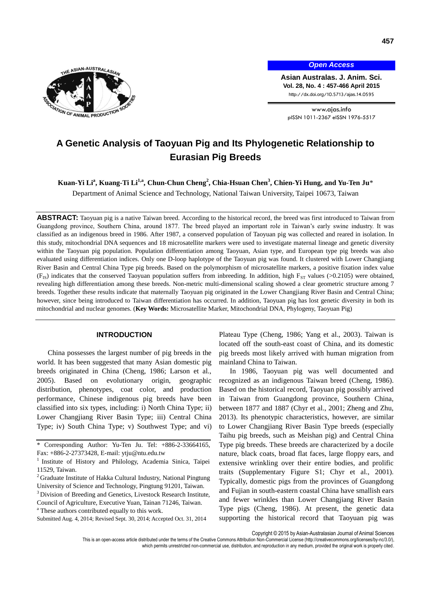

*Open Access*

**Asian Australas. J. Anim. Sci. Vol. 28, No. 4 : 457-466 April 2015** http://dx.doi.org/10.5713/ajas.14.0595

www.ajas.info pISSN 1011-2367 eISSN 1976-5517

# **A Genetic Analysis of Taoyuan Pig and Its Phylogenetic Relationship to Eurasian Pig Breeds**

 $\bf{K}$ uan-Yi Li $\rm{^a,\,K}$ uang-Ti Li $\rm{^{1,a,\,C}}$ hun-Chun Cheng $\rm{^2,\,Chia\text{-}Hs}$ uan Chen $\rm{^3,\,Chien\text{-}Yi}$  Hung, and Yu-Ten Ju $\rm{*}$ 

Department of Animal Science and Technology, National Taiwan University, Taipei 10673, Taiwan

**ABSTRACT:** Taoyuan pig is a native Taiwan breed. According to the historical record, the breed was first introduced to Taiwan from Guangdong province, Southern China, around 1877. The breed played an important role in Taiwan's early swine industry. It was classified as an indigenous breed in 1986. After 1987, a conserved population of Taoyuan pig was collected and reared in isolation. In this study, mitochondrial DNA sequences and 18 microsatellite markers were used to investigate maternal lineage and genetic diversity within the Taoyuan pig population. Population differentiation among Taoyuan, Asian type, and European type pig breeds was also evaluated using differentiation indices. Only one D-loop haplotype of the Taoyuan pig was found. It clustered with Lower Changjiang River Basin and Central China Type pig breeds. Based on the polymorphism of microsatellite markers, a positive fixation index value (F<sub>IS</sub>) indicates that the conserved Taoyuan population suffers from inbreeding. In addition, high  $F_{ST}$  values (>0.2105) were obtained, revealing high differentiation among these breeds. Non-metric multi-dimensional scaling showed a clear geometric structure among 7 breeds. Together these results indicate that maternally Taoyuan pig originated in the Lower Changjiang River Basin and Central China; however, since being introduced to Taiwan differentiation has occurred. In addition, Taoyuan pig has lost genetic diversity in both its mitochondrial and nuclear genomes. (**Key Words:** Microsatellite Marker, Mitochondrial DNA, Phylogeny, Taoyuan Pig)

#### **INTRODUCTION**

China possesses the largest number of pig breeds in the world. It has been suggested that many Asian domestic pig breeds originated in China (Cheng, 1986; Larson et al., 2005). Based on evolutionary origin, geographic distribution, phenotypes, coat color, and production performance, Chinese indigenous pig breeds have been classified into six types, including: i) North China Type; ii) Lower Changjiang River Basin Type; iii) Central China Type; iv) South China Type; v) Southwest Type; and vi)

- <sup>3</sup> Division of Breeding and Genetics, Livestock Research Institute, Council of Agriculture, Executive Yuan, Tainan 71246, Taiwan.
- <sup>a</sup> These authors contributed equally to this work.

Plateau Type (Cheng, 1986; Yang et al., 2003). Taiwan is located off the south-east coast of China, and its domestic pig breeds most likely arrived with human migration from mainland China to Taiwan.

In 1986, Taoyuan pig was well documented and recognized as an indigenous Taiwan breed (Cheng, 1986). Based on the historical record, Taoyuan pig possibly arrived in Taiwan from Guangdong province, Southern China, between 1877 and 1887 (Chyr et al., 2001; Zheng and Zhu, 2013). Its phenotypic characteristics, however, are similar to Lower Changjiang River Basin Type breeds (especially Taihu pig breeds, such as Meishan pig) and Central China Type pig breeds. These breeds are characterized by a docile nature, black coats, broad flat faces, large floppy ears, and extensive wrinkling over their entire bodies, and prolific traits (Supplementary Figure S1; Chyr et al., 2001). Typically, domestic pigs from the provinces of Guangdong and Fujian in south-eastern coastal China have smallish ears and fewer wrinkles than Lower Changjiang River Basin Type pigs (Cheng, 1986). At present, the genetic data supporting the historical record that Taoyuan pig was

Copyright © 2015 by Asian-Australasian Journal of Animal Sciences

<sup>\*</sup> Corresponding Author: Yu-Ten Ju. Tel: +886-2-33664165, Fax: +886-2-27373428, E-mail: [ytju@ntu.edu.tw](mailto:ytju@ntu.edu.tw)

<sup>&</sup>lt;sup>1</sup> Institute of History and Philology, Academia Sinica, Taipei 11529, Taiwan.

<sup>&</sup>lt;sup>2</sup> Graduate Institute of Hakka Cultural Industry, National Pingtung University of Science and Technology, Pingtung 91201, Taiwan.

Submitted Aug. 4, 2014; Revised Sept. 30, 2014; Accepted Oct. 31, 2014

This is an open-access article distributed under the terms of the Creative Commons Attribution Non-Commercial License [\(http://creativecommons.org/licenses/by-nc/3.0/\),](http://creativecommons.org/licenses/by-nc/3.0/) which permits unrestricted non-commercial use, distribution, and reproduction in any medium, provided the original work is properly cited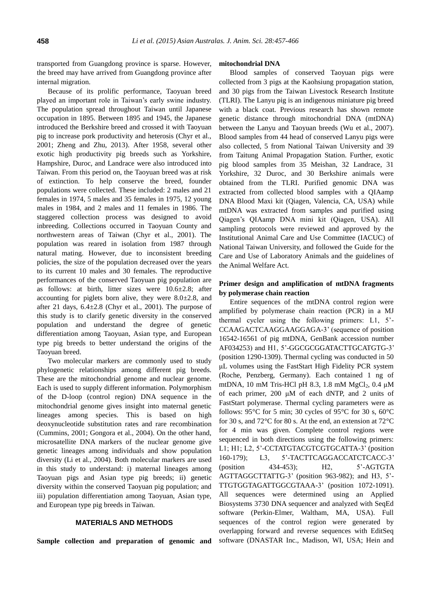transported from Guangdong province is sparse. However, the breed may have arrived from Guangdong province after internal migration.

Because of its prolific performance, Taoyuan breed played an important role in Taiwan's early swine industry. The population spread throughout Taiwan until Japanese occupation in 1895. Between 1895 and 1945, the Japanese introduced the Berkshire breed and crossed it with Taoyuan pig to increase pork productivity and heterosis (Chyr et al., 2001; Zheng and Zhu, 2013). After 1958, several other exotic high productivity pig breeds such as Yorkshire, Hampshire, Duroc, and Landrace were also introduced into Taiwan. From this period on, the Taoyuan breed was at risk of extinction. To help conserve the breed, founder populations were collected. These included: 2 males and 21 females in 1974, 5 males and 35 females in 1975, 12 young males in 1984, and 2 males and 11 females in 1986. The staggered collection process was designed to avoid inbreeding. Collections occurred in Taoyuan County and northwestern areas of Taiwan (Chyr et al., 2001). The population was reared in isolation from 1987 through natural mating. However, due to inconsistent breeding policies, the size of the population decreased over the years to its current 10 males and 30 females. The reproductive performances of the conserved Taoyuan pig population are as follows: at birth, litter sizes were 10.6±2.8; after accounting for piglets born alive, they were 8.0±2.8, and after 21 days,  $6.4 \pm 2.8$  (Chyr et al., 2001). The purpose of this study is to clarify genetic diversity in the conserved population and understand the degree of genetic differentiation among Taoyuan, Asian type, and European type pig breeds to better understand the origins of the Taoyuan breed.

Two molecular markers are commonly used to study phylogenetic relationships among different pig breeds. These are the mitochondrial genome and nuclear genome. Each is used to supply different information. Polymorphism of the D-loop (control region) DNA sequence in the mitochondrial genome gives insight into maternal genetic lineages among species. This is based on high deoxynucleotide substitution rates and rare recombination (Cummins, 2001; Gongora et al., 2004). On the other hand, microsatellite DNA markers of the nuclear genome give genetic lineages among individuals and show population diversity (Li et al., 2004). Both molecular markers are used in this study to understand: i) maternal lineages among Taoyuan pigs and Asian type pig breeds; ii) genetic diversity within the conserved Taoyuan pig population; and iii) population differentiation among Taoyuan, Asian type, and European type pig breeds in Taiwan.

#### **MATERIALS AND METHODS**

**Sample collection and preparation of genomic and** 

#### **mitochondrial DNA**

Blood samples of conserved Taoyuan pigs were collected from 3 pigs at the Kaohsiung propagation station, and 30 pigs from the Taiwan Livestock Research Institute (TLRI). The Lanyu pig is an indigenous miniature pig breed with a black coat. Previous research has shown remote genetic distance through mitochondrial DNA (mtDNA) between the Lanyu and Taoyuan breeds (Wu et al., 2007). Blood samples from 44 head of conserved Lanyu pigs were also collected, 5 from National Taiwan University and 39 from Taitung Animal Propagation Station. Further, exotic pig blood samples from 35 Meishan, 32 Landrace, 31 Yorkshire, 32 Duroc, and 30 Berkshire animals were obtained from the TLRI. Purified genomic DNA was extracted from collected blood samples with a QIAamp DNA Blood Maxi kit (Qiagen, Valencia, CA, USA) while mtDNA was extracted from samples and purified using Qiagen's QIAamp DNA mini kit (Qiagen, USA). All sampling protocols were reviewed and approved by the Institutional Animal Care and Use Committee (IACUC) of National Taiwan University, and followed the Guide for the Care and Use of Laboratory Animals and the guidelines of the Animal Welfare Act.

#### **Primer design and amplification of mtDNA fragments by polymerase chain reaction**

Entire sequences of the mtDNA control region were amplified by polymerase chain reaction (PCR) in a MJ thermal cycler using the following primers: L1, 5'- CCAAGACTCAAGGAAGGAGA-3' (sequence of position 16542-16561 of pig mtDNA, GenBank accession number AF034253) and H1, 5'-GGCGCGGATACTTGCATGTG-3' (position 1290-1309). Thermal cycling was conducted in 50 μL volumes using the FastStart High Fidelity PCR system (Roche, Penzberg, Germany). Each contained 1 ng of mtDNA, 10 mM Tris-HCl pH 8.3, 1.8 mM  $MgCl<sub>2</sub>$ , 0.4  $\mu$ M of each primer, 200 μM of each dNTP, and 2 units of FastStart polymerase. Thermal cycling parameters were as follows: 95 $\degree$ C for 5 min; 30 cycles of 95 $\degree$ C for 30 s, 60 $\degree$ C for 30 s, and 72°C for 80 s. At the end, an extension at 72°C for 4 min was given. Complete control regions were sequenced in both directions using the following primers: L1; H1; L2, 5'-CCTATGTACGTCGTGCATTA-3' (position 160-179); L3, 5'-TACTTCAGGACCATCTCACC-3' (position 434-453); H2, 5'-AGTGTA AGTTAGGCTTATTG-3' (position 963-982); and H3, 5'- TTGTGGTAGATTGGCGTAAA-3' (position 1072-1091). All sequences were determined using an Applied Biosystems 3730 DNA sequencer and analyzed with SeqEd software (Perkin-Elmer, Waltham, MA, USA). Full sequences of the control region were generated by overlapping forward and reverse sequences with EditSeq software (DNASTAR Inc., Madison, WI, USA; Hein and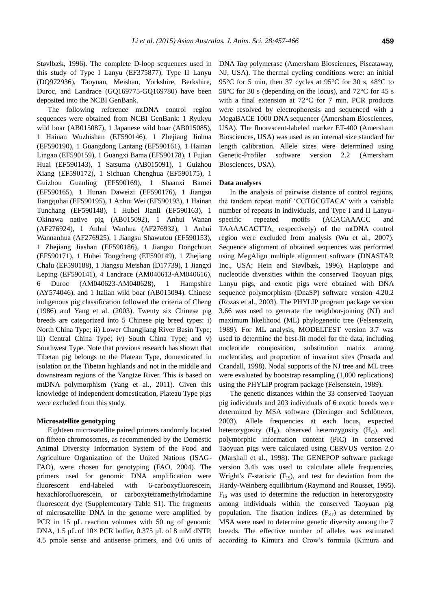Støvlbæ k, 1996). The complete D-loop sequences used in this study of Type I Lanyu (EF375877), Type II Lanyu (DQ972936), Taoyuan, Meishan, Yorkshire, Berkshire, Duroc, and Landrace (GQ169775-GQ169780) have been deposited into the NCBI GenBank.

The following reference mtDNA control region sequences were obtained from NCBI GenBank: 1 Ryukyu wild boar (AB015087), 1 Japanese wild boar (AB015085), 1 Hainan Wuzhishan (EF590146), 1 Zhejiang Jinhua (EF590190), 1 Guangdong Lantang (EF590161), 1 Hainan Lingao (EF590159), 1 Guangxi Bama (EF590178), 1 Fujian Huai (EF590143), 1 Satsuma (AB015091), 1 Guizhou Xiang (EF590172), 1 Sichuan Chenghua (EF590175), 1 Guizhou Guanling (EF590169), 1 Shaanxi Bamei (EF590165), 1 Hunan Daweizi (EF590176), 1 Jiangsu Jiangquhai (EF590195), 1 Anhui Wei (EF590193), 1 Hainan Tunchang (EF590148), 1 Hubei Jianli (EF590163), 1 Okinawa native pig (AB015092), 1 Anhui Wanan (AF276924), 1 Anhui Wanhua (AF276932), 1 Anhui Wannanhua (AF276925), 1 Jiangsu Shawutou (EF590153), 1 Zhejiang Jiashan (EF590186), 1 Jiangsu Dongchuan (EF590171), 1 Hubei Tongcheng (EF590149), 1 Zhejiang Chalu (EF590188), 1 Jiangsu Meishan (D17739), 1 Jiangxi Leping (EF590141), 4 Landrace (AM040613-AM040616), 6 Duroc (AM040623-AM040628), 1 Hampshire (AY574046), and 1 Italian wild boar (AB015094). Chinese indigenous pig classification followed the criteria of Cheng (1986) and Yang et al. (2003). Twenty six Chinese pig breeds are categorized into 5 Chinese pig breed types: i) North China Type; ii) Lower Changjiang River Basin Type; iii) Central China Type; iv) South China Type; and v) Southwest Type. Note that previous research has shown that Tibetan pig belongs to the Plateau Type, domesticated in isolation on the Tibetan highlands and not in the middle and downstream regions of the Yangtze River. This is based on mtDNA polymorphism (Yang et al., 2011). Given this knowledge of independent domestication, Plateau Type pigs were excluded from this study.

#### **Microsatellite genotyping**

Eighteen microsatellite paired primers randomly located on fifteen chromosomes, as recommended by the Domestic Animal Diversity Information System of the Food and Agriculture Organization of the United Nations (ISAG-FAO), were chosen for genotyping (FAO, 2004). The primers used for genomic DNA amplification were fluorescent end-labeled with 6-carboxyfluorescein, hexachlorofluorescein, or carboxytetramethylrhodamine fluorescent dye (Supplementary Table S1). The fragments of microsatellite DNA in the genome were amplified by PCR in 15 μL reaction volumes with 50 ng of genomic DNA, 1.5 μL of 10× PCR buffer, 0.375 μL of 8 mM dNTP, 4.5 pmole sense and antisense primers, and 0.6 units of DNA *Taq* polymerase (Amersham Biosciences, Piscataway, NJ, USA). The thermal cycling conditions were: an initial 95°C for 5 min, then 37 cycles at 95°C for 30 s, 48°C to 58°C for 30 s (depending on the locus), and 72°C for 45 s with a final extension at 72°C for 7 min. PCR products were resolved by electrophoresis and sequenced with a MegaBACE 1000 DNA sequencer (Amersham Biosciences, USA). The fluorescent-labeled marker ET-400 (Amersham Biosciences, USA) was used as an internal size standard for length calibration. Allele sizes were determined using Genetic-Profiler software version 2.2 (Amersham Biosciences, USA).

#### **Data analyses**

In the analysis of pairwise distance of control regions, the tandem repeat motif 'CGTGCGTACA' with a variable number of repeats in individuals, and Type I and II Lanyuspecific repeated motifs (ACACAAACC and TAAAACACTTA, respectively) of the mtDNA control region were excluded from analysis (Wu et al., 2007). Sequence alignment of obtained sequences was performed using MegAlign multiple alignment software (DNASTAR Inc., USA; Hein and Støvlbæ k, 1996). Haplotype and nucleotide diversities within the conserved Taoyuan pigs, Lanyu pigs, and exotic pigs were obtained with DNA sequence polymorphism (DnaSP) software version 4.20.2 (Rozas et al., 2003). The PHYLIP program package version 3.66 was used to generate the neighbor-joining (NJ) and maximum likelihood (ML) phylogenetic tree (Felsenstein, 1989). For ML analysis, MODELTEST version 3.7 was used to determine the best-fit model for the data, including nucleotide composition, substitution matrix among nucleotides, and proportion of invariant sites (Posada and Crandall, 1998). Nodal supports of the NJ tree and ML trees were evaluated by bootstrap resampling (1,000 replications) using the PHYLIP program package (Felsenstein, 1989).

The genetic distances within the 33 conserved Taoyuan pig individuals and 203 individuals of 6 exotic breeds were determined by MSA software (Dieringer and Schlötterer, 2003). Allele frequencies at each locus, expected heterozygosity  $(H_E)$ , observed heterozygosity  $(H_O)$ , and polymorphic information content (PIC) in conserved Taoyuan pigs were calculated using CERVUS version 2.0 (Marshall et al., 1998). The GENEPOP software package version 3.4b was used to calculate allele frequencies, Wright's  $F$ -statistic  $(F_{IS})$ , and test for deviation from the Hardy-Weinberg equilibrium (Raymond and Rousset, 1995).  $F_{IS}$  was used to determine the reduction in heterozygosity among individuals within the conserved Taoyuan pig population. The fixation indices  $(F_{ST})$  as determined by MSA were used to determine genetic diversity among the 7 breeds. The effective number of alleles was estimated according to Kimura and Crow's formula (Kimura and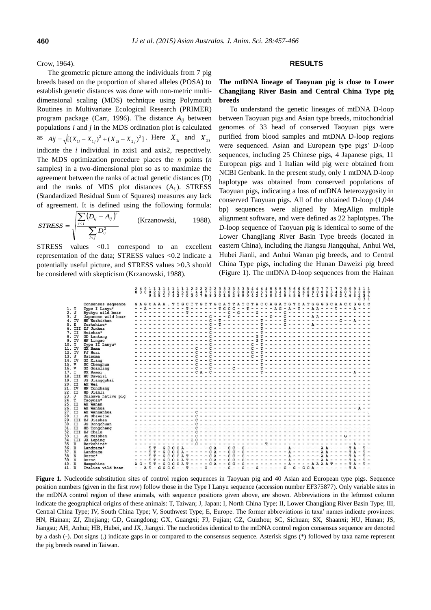Crow, 1964).

The geometric picture among the individuals from 7 pig breeds based on the proportion of shared alleles (POSA) to establish genetic distances was done with non-metric multidimensional scaling (MDS) technique using Polymouth Routines in Multivariate Ecological Research (PRIMER) program package (Carr, 1996). The distance *Aij* between populations *i* and *j* in the MDS ordination plot is calculated as  $Aij = \sqrt{[(X_{1i} - X_{1j})^2 + (X_{2i} - X_{2j})^2]}$ . Here  $X_{1i}$  and  $X_{2i}$ indicate the *i* individual in axis1 and axis2, respectively. The MDS optimization procedure places the *n* points (*n* samples) in a two-dimensional plot so as to maximize the agreement between the ranks of actual genetic distances (D) and the ranks of MDS plot distances (Aij). STRESS (Standardized Residual Sum of Squares) measures any lack of agreement. It is defined using the following formula:

$$
STRESS = \sqrt{\frac{\sum_{i (Krzanowski, 1988).
$$

STRESS values <0.1 correspond to an excellent representation of the data; STRESS values <0.2 indicate a potentially useful picture, and STRESS values >0.3 should be considered with skepticism (Krzanowski, 1988).

### **RESULTS**

**The mtDNA lineage of Taoyuan pig is close to Lower Changjiang River Basin and Central China Type pig breeds** 

To understand the genetic lineages of mtDNA D-loop between Taoyuan pigs and Asian type breeds, mitochondrial genomes of 33 head of conserved Taoyuan pigs were purified from blood samples and mtDNA D-loop regions were sequenced. Asian and European type pigs' D-loop sequences, including 25 Chinese pigs, 4 Japanese pigs, 11 European pigs and 1 Italian wild pig were obtained from NCBI Genbank. In the present study, only 1 mtDNA D-loop haplotype was obtained from conserved populations of Taoyuan pigs, indicating a loss of mtDNA heterozygosity in conserved Taoyuan pigs. All of the obtained D-loop (1,044 bp) sequences were aligned by MegAlign multiple alignment software, and were defined as 22 haplotypes. The D-loop sequence of Taoyuan pig is identical to some of the Lower Changjiang River Basin Type breeds (located in eastern China), including the Jiangsu Jiangquhai, Anhui Wei, Hubei Jianli, and Anhui Wanan pig breeds, and to Central China Type pigs, including the Hunan Daweizi pig breed (Figure 1). The mtDNA D-loop sequences from the Hainan

|        |              |                    |  |                       |                     |       |              |           |           |         |   |  |  |                                                                                                                 |  |  |  |  |  |  |  |  | $\overline{0}$ $\overline{0}$ $\overline{0}$<br>$\frac{2}{0}$ $\frac{3}{3}$ $\frac{4}{1}$ |  |
|--------|--------------|--------------------|--|-----------------------|---------------------|-------|--------------|-----------|-----------|---------|---|--|--|-----------------------------------------------------------------------------------------------------------------|--|--|--|--|--|--|--|--|-------------------------------------------------------------------------------------------|--|
|        |              | Consensus sequence |  | GAGCAAA . TTGC        |                     |       |              |           |           |         |   |  |  | TTGTTGCATTATCTACCAGATGTCATGGGGCAACCGGCC                                                                         |  |  |  |  |  |  |  |  |                                                                                           |  |
| 1. T   |              | Type I Lanyu*      |  | $-$ - A - - - - - - - |                     |       |              |           |           |         |   |  |  | $- - - -$ T G C C - - T - - - - A G - A - T - - A A - - - T - - A                                               |  |  |  |  |  |  |  |  |                                                                                           |  |
| 2. J   |              | Ryukyu wild boar   |  |                       | $- - - - - - - - -$ |       |              |           |           |         |   |  |  |                                                                                                                 |  |  |  |  |  |  |  |  |                                                                                           |  |
| 3.     | $\mathbf{J}$ | Japanese wild boar |  |                       |                     |       |              |           |           |         |   |  |  |                                                                                                                 |  |  |  |  |  |  |  |  |                                                                                           |  |
|        | 4. IV        | HN Wuzhishan       |  |                       |                     |       |              |           |           |         |   |  |  |                                                                                                                 |  |  |  |  |  |  |  |  |                                                                                           |  |
| 5.     | E.           | Yorkshire*         |  |                       |                     |       |              |           |           |         | T |  |  |                                                                                                                 |  |  |  |  |  |  |  |  |                                                                                           |  |
|        | 6. III       | ZJ Jinhua          |  | . <i>.</i> 0          |                     |       |              |           |           |         |   |  |  |                                                                                                                 |  |  |  |  |  |  |  |  |                                                                                           |  |
|        | 7. II        | Meishan*           |  |                       |                     |       |              |           |           |         |   |  |  |                                                                                                                 |  |  |  |  |  |  |  |  |                                                                                           |  |
|        | 8. IV        | GD Lantang         |  |                       |                     |       |              |           |           |         |   |  |  |                                                                                                                 |  |  |  |  |  |  |  |  |                                                                                           |  |
|        | 9. IV        | HN Lingao          |  |                       |                     |       |              |           |           |         |   |  |  |                                                                                                                 |  |  |  |  |  |  |  |  |                                                                                           |  |
| 10. T  |              | Type II Lanyu*     |  |                       |                     |       |              |           |           |         |   |  |  |                                                                                                                 |  |  |  |  |  |  |  |  |                                                                                           |  |
| 11. IV |              | <b>GX</b> Bama     |  |                       |                     |       |              |           |           | $- - c$ |   |  |  |                                                                                                                 |  |  |  |  |  |  |  |  |                                                                                           |  |
| 12. IV |              | FJ Huai            |  |                       |                     |       |              |           |           |         |   |  |  |                                                                                                                 |  |  |  |  |  |  |  |  |                                                                                           |  |
| 13. J  |              | Satsuma            |  |                       |                     |       |              |           | $ \Gamma$ |         |   |  |  |                                                                                                                 |  |  |  |  |  |  |  |  |                                                                                           |  |
| 14. IV |              |                    |  |                       |                     |       |              | $- - - C$ |           |         |   |  |  |                                                                                                                 |  |  |  |  |  |  |  |  |                                                                                           |  |
| 15. V  |              | GZ Xiang           |  |                       |                     |       |              |           |           |         |   |  |  |                                                                                                                 |  |  |  |  |  |  |  |  |                                                                                           |  |
|        |              | SC Chenghua        |  |                       |                     |       |              |           |           |         |   |  |  |                                                                                                                 |  |  |  |  |  |  |  |  |                                                                                           |  |
| 16. V  |              | GZ Guanling        |  |                       |                     |       |              |           |           |         |   |  |  |                                                                                                                 |  |  |  |  |  |  |  |  |                                                                                           |  |
| 17. I  |              | SX Bamei           |  |                       |                     |       |              |           |           |         |   |  |  |                                                                                                                 |  |  |  |  |  |  |  |  |                                                                                           |  |
|        | 18. III      | <b>HU Daweizi</b>  |  |                       |                     |       |              |           |           |         |   |  |  | a contra e escrito e elevado é escrito e elevado e el                                                           |  |  |  |  |  |  |  |  |                                                                                           |  |
| 19. II |              | JS Jiangquhai      |  |                       |                     |       |              |           |           |         |   |  |  | ----------------                                                                                                |  |  |  |  |  |  |  |  |                                                                                           |  |
| 20. II |              | AH Wei             |  |                       |                     |       |              |           |           |         |   |  |  | a provincia distance a provincia distante del provincia del provincia del provincia del provincia del provincia |  |  |  |  |  |  |  |  |                                                                                           |  |
| 21. IV |              | HN Tunchang        |  |                       |                     |       |              |           |           |         |   |  |  |                                                                                                                 |  |  |  |  |  |  |  |  |                                                                                           |  |
| 22. II |              | HB Jianli          |  |                       |                     |       |              |           |           |         |   |  |  |                                                                                                                 |  |  |  |  |  |  |  |  |                                                                                           |  |
| 23. J  |              | Okinawa native pig |  |                       |                     |       |              |           |           |         |   |  |  |                                                                                                                 |  |  |  |  |  |  |  |  |                                                                                           |  |
| 24. T  |              | Taoyuan*           |  |                       |                     |       |              |           |           |         |   |  |  |                                                                                                                 |  |  |  |  |  |  |  |  |                                                                                           |  |
| 25. II |              | AH Wanan           |  |                       |                     |       |              |           |           |         |   |  |  | ים ב מיטיים ב מוכימים ב מיטיים באופיים שיטיים ומיטיים של מיטיים ב                                               |  |  |  |  |  |  |  |  |                                                                                           |  |
| 26. II |              | AH Wanhua          |  |                       |                     |       |              |           |           |         |   |  |  |                                                                                                                 |  |  |  |  |  |  |  |  |                                                                                           |  |
| 27. II |              | AH Wannanhua       |  |                       |                     |       |              |           |           |         |   |  |  |                                                                                                                 |  |  |  |  |  |  |  |  |                                                                                           |  |
| 28. II |              | JS Shawutou        |  |                       |                     |       |              |           | $ \alpha$ |         |   |  |  | a production of the competition of the competition of the competition of the competition of the competition of  |  |  |  |  |  |  |  |  |                                                                                           |  |
|        | 29. III      | ZJ Jiashan         |  |                       |                     |       |              |           |           |         |   |  |  |                                                                                                                 |  |  |  |  |  |  |  |  |                                                                                           |  |
| 30. II |              | JS Dongchuan       |  |                       |                     |       |              |           |           |         |   |  |  |                                                                                                                 |  |  |  |  |  |  |  |  |                                                                                           |  |
| 31. II |              | HB Tongcheng       |  |                       |                     |       |              | $- - C$   |           |         |   |  |  | -------------------------------                                                                                 |  |  |  |  |  |  |  |  |                                                                                           |  |
|        | 32. III      | ZJ Chalu           |  |                       |                     |       |              |           |           |         |   |  |  |                                                                                                                 |  |  |  |  |  |  |  |  |                                                                                           |  |
| 33. II |              | JS Meishan         |  |                       |                     |       |              |           |           |         |   |  |  |                                                                                                                 |  |  |  |  |  |  |  |  |                                                                                           |  |
|        |              |                    |  |                       |                     |       |              | $-$ C C   |           |         |   |  |  |                                                                                                                 |  |  |  |  |  |  |  |  |                                                                                           |  |
|        | 34. III      | JX Leping          |  |                       |                     |       |              |           |           |         |   |  |  |                                                                                                                 |  |  |  |  |  |  |  |  |                                                                                           |  |
| 35. E  |              | Berkshire*         |  |                       |                     |       |              |           |           |         |   |  |  |                                                                                                                 |  |  |  |  |  |  |  |  |                                                                                           |  |
| 36. E  |              | Landrace*          |  |                       | $-$ G C C           |       |              |           |           |         |   |  |  | $CA-----CA--CC-C--------A-------AA----TA-T-$                                                                    |  |  |  |  |  |  |  |  |                                                                                           |  |
| 37.E   |              | Landrace           |  |                       |                     | G C C |              |           |           |         |   |  |  | $CA-----CA--CC-C----------A----AA----TA$                                                                        |  |  |  |  |  |  |  |  |                                                                                           |  |
| 38. E  |              | Duroc*             |  |                       |                     |       |              |           |           |         |   |  |  |                                                                                                                 |  |  |  |  |  |  |  |  |                                                                                           |  |
| 39. E  |              | Duroc              |  |                       |                     |       |              |           |           |         |   |  |  |                                                                                                                 |  |  |  |  |  |  |  |  |                                                                                           |  |
| 40. E  |              | Hampshire          |  |                       |                     | G C   | $\mathbf{C}$ |           |           |         |   |  |  |                                                                                                                 |  |  |  |  |  |  |  |  |                                                                                           |  |
| 41 E   |              | Italian wild boar  |  |                       |                     |       |              |           |           |         |   |  |  |                                                                                                                 |  |  |  |  |  |  |  |  |                                                                                           |  |

**Figure 1.** Nucleotide substitution sites of control region sequences in Taoyuan pig and 40 Asian and European type pigs. Sequence position numbers (given in the first row) follow those in the Type I Lanyu sequence (accession number EF375877). Only variable sites in the mtDNA control region of these animals, with sequence positions given above, are shown. Abbreviations in the leftmost column indicate the geographical origins of these animals: T, Taiwan; J, Japan; I, North China Type; II, Lower Changjiang River Basin Type; III, Central China Type; IV, South China Type; V, Southwest Type; E, Europe. The former abbreviations in taxa' names indicate provinces: HN, Hainan; ZJ, Zhejiang; GD, Guangdong; GX, Guangxi; FJ, Fujian; GZ, Guizhou; SC, Sichuan; SX, Shaanxi; HU, Hunan; JS, Jiangsu; AH, Anhui; HB, Hubei, and JX, Jiangxi. The nucleotides identical to the mtDNA control region consensus sequence are denoted by a dash (-). Dot signs (.) indicate gaps in or compared to the consensus sequence. Asterisk signs (\*) followed by taxa name represent the pig breeds reared in Taiwan.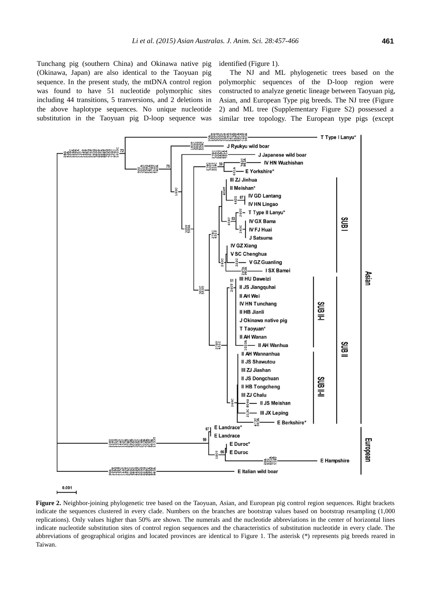Tunchang pig (southern China) and Okinawa native pig (Okinawa, Japan) are also identical to the Taoyuan pig sequence. In the present study, the mtDNA control region was found to have 51 nucleotide polymorphic sites including 44 transitions, 5 tranversions, and 2 deletions in the above haplotype sequences. No unique nucleotide substitution in the Taoyuan pig D-loop sequence was identified (Figure 1).

The NJ and ML phylogenetic trees based on the polymorphic sequences of the D-loop region were constructed to analyze genetic lineage between Taoyuan pig, Asian, and European Type pig breeds. The NJ tree (Figure 2) and ML tree (Supplementary Figure S2) possessed a similar tree topology. The European type pigs (except



 $0.001$ 

**Figure 2.** Neighbor-joining phylogenetic tree based on the Taoyuan, Asian, and European pig control region sequences. Right brackets indicate the sequences clustered in every clade. Numbers on the branches are bootstrap values based on bootstrap resampling (1,000 replications). Only values higher than 50% are shown. The numerals and the nucleotide abbreviations in the center of horizontal lines indicate nucleotide substitution sites of control region sequences and the characteristics of substitution nucleotide in every clade. The abbreviations of geographical origins and located provinces are identical to Figure 1. The asterisk (\*) represents pig breeds reared in Taiwan.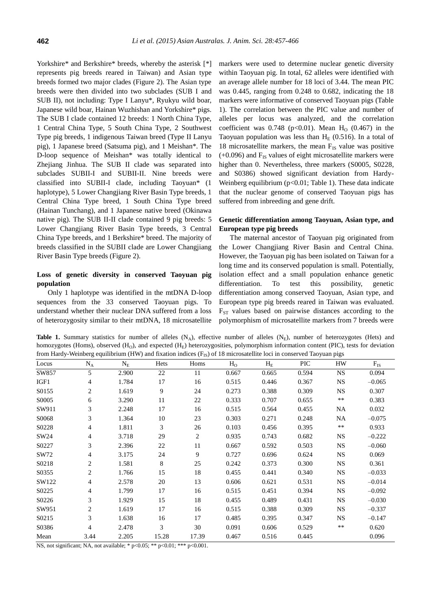Yorkshire\* and Berkshire\* breeds, whereby the asterisk [\*] represents pig breeds reared in Taiwan) and Asian type breeds formed two major clades (Figure 2). The Asian type breeds were then divided into two subclades (SUB I and SUB II), not including: Type I Lanyu\*, Ryukyu wild boar, Japanese wild boar, Hainan Wuzhishan and Yorkshire\* pigs. The SUB I clade contained 12 breeds: 1 North China Type, 1 Central China Type, 5 South China Type, 2 Southwest Type pig breeds, 1 indigenous Taiwan breed (Type II Lanyu pig), 1 Japanese breed (Satsuma pig), and 1 Meishan\*. The D-loop sequence of Meishan\* was totally identical to Zhejiang Jinhua. The SUB II clade was separated into subclades SUBII-I and SUBII-II. Nine breeds were classified into SUBII-I clade, including Taoyuan\* (1 haplotype), 5 Lower Changjiang River Basin Type breeds, 1 Central China Type breed, 1 South China Type breed (Hainan Tunchang), and 1 Japanese native breed (Okinawa native pig). The SUB II-II clade contained 9 pig breeds: 5 Lower Changjiang River Basin Type breeds, 3 Central China Type breeds, and 1 Berkshire\* breed. The majority of breeds classified in the SUBII clade are Lower Changjiang River Basin Type breeds (Figure 2).

# **Loss of genetic diversity in conserved Taoyuan pig population**

Only 1 haplotype was identified in the mtDNA D-loop sequences from the 33 conserved Taoyuan pigs. To understand whether their nuclear DNA suffered from a loss of heterozygosity similar to their mtDNA, 18 microsatellite markers were used to determine nuclear genetic diversity within Taoyuan pig. In total, 62 alleles were identified with an average allele number for 18 loci of 3.44. The mean PIC was 0.445, ranging from 0.248 to 0.682, indicating the 18 markers were informative of conserved Taoyuan pigs (Table 1). The correlation between the PIC value and number of alleles per locus was analyzed, and the correlation coefficient was  $0.748$  (p<0.01). Mean H<sub>0</sub> (0.467) in the Taoyuan population was less than  $H_E$  (0.516). In a total of 18 microsatellite markers, the mean  $F_{IS}$  value was positive  $(+0.096)$  and  $F_{IS}$  values of eight microsatellite markers were higher than 0. Nevertheless, three markers (S0005, S0228, and S0386) showed significant deviation from Hardy-Weinberg equilibrium ( $p<0.01$ ; Table 1). These data indicate that the nuclear genome of conserved Taoyuan pigs has suffered from inbreeding and gene drift.

# **Genetic differentiation among Taoyuan, Asian type, and European type pig breeds**

The maternal ancestor of Taoyuan pig originated from the Lower Changjiang River Basin and Central China. However, the Taoyuan pig has been isolated on Taiwan for a long time and its conserved population is small. Potentially, isolation effect and a small population enhance genetic differentiation. To test this possibility, genetic differentiation among conserved Taoyuan, Asian type, and European type pig breeds reared in Taiwan was evaluated.  $F_{ST}$  values based on pairwise distances according to the polymorphism of microsatellite markers from 7 breeds were

**Table 1.** Summary statistics for number of alleles  $(N_A)$ , effective number of alleles  $(N_E)$ , number of heterozygotes (Hets) and homozygotes (Homs), observed  $(H<sub>O</sub>)$ , and expected  $(H<sub>F</sub>)$  heterozygosities, polymorphism information content (PIC), tests for deviation from Hardy-Weinberg equilibrium (HW) and fixation indices  $(F_+)$  of 18 microsatellite loci in conserved Taoyuan pigs

| Tront Flaruy-Welliberg equilibrium (FFW) and fixation muttes (Fg) of To microsatemic foci in conserved Taoyuan pigs |       |           |       |                |                |                               |            |           |          |  |  |  |  |
|---------------------------------------------------------------------------------------------------------------------|-------|-----------|-------|----------------|----------------|-------------------------------|------------|-----------|----------|--|--|--|--|
| Locus                                                                                                               | $N_A$ | $\rm N_E$ | Hets  | Homs           | H <sub>o</sub> | $H_{\scriptscriptstyle\rm E}$ | <b>PIC</b> | HW        | $F_{IS}$ |  |  |  |  |
| SW857                                                                                                               | 5     | 2.900     | 22    | 11             | 0.667          | 0.665                         | 0.594      | <b>NS</b> | 0.094    |  |  |  |  |
| IGF1                                                                                                                | 4     | 1.784     | 17    | 16             | 0.515          | 0.446                         | 0.367      | NS        | $-0.065$ |  |  |  |  |
| S0155                                                                                                               | 2     | 1.619     | 9     | 24             | 0.273          | 0.388                         | 0.309      | <b>NS</b> | 0.307    |  |  |  |  |
| S0005                                                                                                               | 6     | 3.290     | 11    | 22             | 0.333          | 0.707                         | 0.655      | $***$     | 0.383    |  |  |  |  |
| SW911                                                                                                               | 3     | 2.248     | 17    | 16             | 0.515          | 0.564                         | 0.455      | NA        | 0.032    |  |  |  |  |
| S0068                                                                                                               | 3     | 1.364     | 10    | 23             | 0.303          | 0.271                         | 0.248      | NA        | $-0.075$ |  |  |  |  |
| S0228                                                                                                               | 4     | 1.811     | 3     | 26             | 0.103          | 0.456                         | 0.395      | $***$     | 0.933    |  |  |  |  |
| SW24                                                                                                                | 4     | 3.718     | 29    | $\overline{c}$ | 0.935          | 0.743                         | 0.682      | <b>NS</b> | $-0.222$ |  |  |  |  |
| S0227                                                                                                               | 3     | 2.396     | 22    | 11             | 0.667          | 0.592                         | 0.503      | NS.       | $-0.060$ |  |  |  |  |
| SW72                                                                                                                | 4     | 3.175     | 24    | 9              | 0.727          | 0.696                         | 0.624      | <b>NS</b> | 0.069    |  |  |  |  |
| S0218                                                                                                               | 2     | 1.581     | 8     | 25             | 0.242          | 0.373                         | 0.300      | <b>NS</b> | 0.361    |  |  |  |  |
| S0355                                                                                                               | 2     | 1.766     | 15    | 18             | 0.455          | 0.441                         | 0.340      | <b>NS</b> | $-0.033$ |  |  |  |  |
| SW122                                                                                                               | 4     | 2.578     | 20    | 13             | 0.606          | 0.621                         | 0.531      | <b>NS</b> | $-0.014$ |  |  |  |  |
| S0225                                                                                                               | 4     | 1.799     | 17    | 16             | 0.515          | 0.451                         | 0.394      | <b>NS</b> | $-0.092$ |  |  |  |  |
| S0226                                                                                                               | 3     | 1.929     | 15    | 18             | 0.455          | 0.489                         | 0.431      | <b>NS</b> | $-0.030$ |  |  |  |  |
| SW951                                                                                                               | 2     | 1.619     | 17    | 16             | 0.515          | 0.388                         | 0.309      | <b>NS</b> | $-0.337$ |  |  |  |  |
| S0215                                                                                                               | 3     | 1.638     | 16    | 17             | 0.485          | 0.395                         | 0.347      | <b>NS</b> | $-0.147$ |  |  |  |  |
| S0386                                                                                                               | 4     | 2.478     | 3     | 30             | 0.091          | 0.606                         | 0.529      | $***$     | 0.620    |  |  |  |  |
| Mean                                                                                                                | 3.44  | 2.205     | 15.28 | 17.39          | 0.467          | 0.516                         | 0.445      |           | 0.096    |  |  |  |  |

NS, not significant; NA, not available; \* p<0.05; \*\* p<0.01; \*\*\* p<0.001.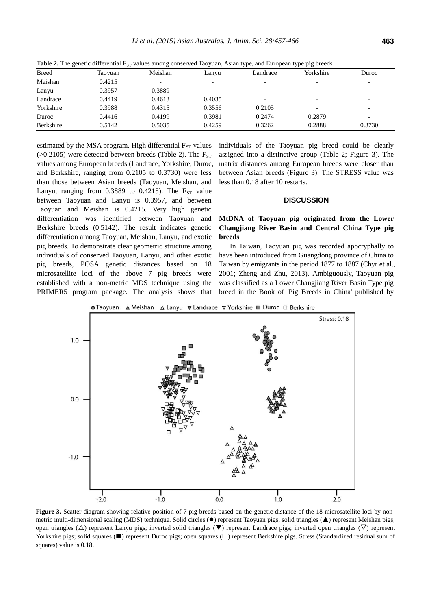| <b>Breed</b> | Taoyuan | Meishan | Lanyu  | Landrace | Yorkshire                | Duroc                    |
|--------------|---------|---------|--------|----------|--------------------------|--------------------------|
| Meishan      | 0.4215  |         |        |          | $\overline{\phantom{0}}$ | $\overline{\phantom{0}}$ |
| Lanyu        | 0.3957  | 0.3889  |        |          | -                        | $\overline{\phantom{0}}$ |
| Landrace     | 0.4419  | 0.4613  | 0.4035 |          | -                        | $\overline{\phantom{0}}$ |
| Yorkshire    | 0.3988  | 0.4315  | 0.3556 | 0.2105   | $\overline{\phantom{0}}$ | $\overline{\phantom{0}}$ |
| Duroc        | 0.4416  | 0.4199  | 0.3981 | 0.2474   | 0.2879                   | -                        |
| Berkshire    | 0.5142  | 0.5035  | 0.4259 | 0.3262   | 0.2888                   | 0.3730                   |

**Table 2.** The genetic differential  $F_{ST}$  values among conserved Taoyuan, Asian type, and European type pig breeds

estimated by the MSA program. High differential  $F_{ST}$  values ( $>0.2105$ ) were detected between breeds (Table 2). The  $F_{ST}$ values among European breeds (Landrace, Yorkshire, Duroc, and Berkshire, ranging from 0.2105 to 0.3730) were less than those between Asian breeds (Taoyuan, Meishan, and Lanyu, ranging from 0.3889 to 0.4215). The  $F_{ST}$  value between Taoyuan and Lanyu is 0.3957, and between Taoyuan and Meishan is 0.4215. Very high genetic differentiation was identified between Taoyuan and Berkshire breeds (0.5142). The result indicates genetic differentiation among Taoyuan, Meishan, Lanyu, and exotic pig breeds. To demonstrate clear geometric structure among individuals of conserved Taoyuan, Lanyu, and other exotic pig breeds, POSA genetic distances based on 18 microsatellite loci of the above 7 pig breeds were established with a non-metric MDS technique using the PRIMER5 program package. The analysis shows that

individuals of the Taoyuan pig breed could be clearly assigned into a distinctive group (Table 2; Figure 3). The matrix distances among European breeds were closer than between Asian breeds (Figure 3). The STRESS value was less than 0.18 after 10 restarts.

#### **DISCUSSION**

# **MtDNA of Taoyuan pig originated from the Lower Changjiang River Basin and Central China Type pig breeds**

In Taiwan, Taoyuan pig was recorded apocryphally to have been introduced from Guangdong province of China to Taiwan by emigrants in the period 1877 to 1887 (Chyr et al., 2001; Zheng and Zhu, 2013). Ambiguously, Taoyuan pig was classified as a Lower Changjiang River Basin Type pig breed in the Book of 'Pig Breeds in China' published by

**O** Taoyuan A Meishan A Lanyu V Landrace V Yorkshire I Duroc O Berkshire



Figure 3. Scatter diagram showing relative position of 7 pig breeds based on the genetic distance of the 18 microsatellite loci by nonmetric multi-dimensional scaling (MDS) technique. Solid circles ( $\bullet$ ) represent Taoyuan pigs; solid triangles ( $\blacktriangle$ ) represent Meishan pigs; open triangles ( $\triangle$ ) represent Lanyu pigs; inverted solid triangles ( $\blacktriangledown$ ) represent Landrace pigs; inverted open triangles ( $\triangledown$ ) represent Yorkshire pigs; solid squares  $(\blacksquare)$  represent Duroc pigs; open squares  $(\square)$  represent Berkshire pigs. Stress (Standardized residual sum of squares) value is 0.18.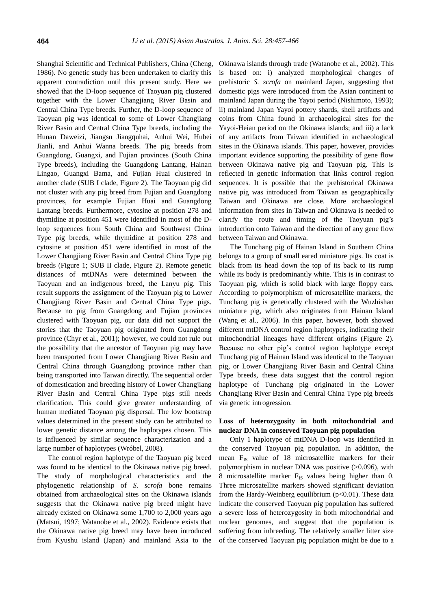Shanghai Scientific and Technical Publishers, China (Cheng, 1986). No genetic study has been undertaken to clarify this apparent contradiction until this present study. Here we showed that the D-loop sequence of Taoyuan pig clustered together with the Lower Changjiang River Basin and Central China Type breeds. Further, the D-loop sequence of Taoyuan pig was identical to some of Lower Changjiang River Basin and Central China Type breeds, including the Hunan Daweizi, Jiangsu Jiangquhai, Anhui Wei, Hubei Jianli, and Anhui Wanna breeds. The pig breeds from Guangdong, Guangxi, and Fujian provinces (South China Type breeds), including the Guangdong Lantang, Hainan Lingao, Guangxi Bama, and Fujian Huai clustered in another clade (SUB I clade, Figure 2). The Taoyuan pig did not cluster with any pig breed from Fujian and Guangdong provinces, for example Fujian Huai and Guangdong Lantang breeds. Furthermore, cytosine at position 278 and thymidine at position 451 were identified in most of the Dloop sequences from South China and Southwest China Type pig breeds, while thymidine at position 278 and cytosine at position 451 were identified in most of the Lower Changjiang River Basin and Central China Type pig breeds (Figure 1; SUB II clade, Figure 2). Remote genetic distances of mtDNAs were determined between the Taoyuan and an indigenous breed, the Lanyu pig. This result supports the assignment of the Taoyuan pig to Lower Changjiang River Basin and Central China Type pigs. Because no pig from Guangdong and Fujian provinces clustered with Taoyuan pig, our data did not support the stories that the Taoyuan pig originated from Guangdong province (Chyr et al., 2001); however, we could not rule out the possibility that the ancestor of Taoyuan pig may have been transported from Lower Changjiang River Basin and Central China through Guangdong province rather than being transported into Taiwan directly. The sequential order of domestication and breeding history of Lower Changjiang River Basin and Central China Type pigs still needs clarification. This could give greater understanding of human mediated Taoyuan pig dispersal. The low bootstrap values determined in the present study can be attributed to lower genetic distance among the haplotypes chosen. This is influenced by similar sequence characterization and a large number of haplotypes (Wróbel, 2008).

The control region haplotype of the Taoyuan pig breed was found to be identical to the Okinawa native pig breed. The study of morphological characteristics and the phylogenetic relationship of *S. scrofa* bone remains obtained from archaeological sites on the Okinawa islands suggests that the Okinawa native pig breed might have already existed on Okinawa some 1,700 to 2,000 years ago (Matsui, 1997; Watanobe et al., 2002). Evidence exists that the Okinawa native pig breed may have been introduced from Kyushu island (Japan) and mainland Asia to the Okinawa islands through trade (Watanobe et al., 2002). This is based on: i) analyzed morphological changes of prehistoric *S. scrofa* on mainland Japan, suggesting that domestic pigs were introduced from the Asian continent to mainland Japan during the Yayoi period (Nishimoto, 1993); ii) mainland Japan Yayoi pottery shards, shell artifacts and coins from China found in archaeological sites for the Yayoi-Heian period on the Okinawa islands; and iii) a lack of any artifacts from Taiwan identified in archaeological sites in the Okinawa islands. This paper, however, provides important evidence supporting the possibility of gene flow between Okinawa native pig and Taoyuan pig. This is reflected in genetic information that links control region sequences. It is possible that the prehistorical Okinawa native pig was introduced from Taiwan as geographically Taiwan and Okinawa are close. More archaeological information from sites in Taiwan and Okinawa is needed to clarify the route and timing of the Taoyuan pig's introduction onto Taiwan and the direction of any gene flow between Taiwan and Okinawa.

The Tunchang pig of Hainan Island in Southern China belongs to a group of small eared miniature pigs. Its coat is black from its head down the top of its back to its rump while its body is predominantly white. This is in contrast to Taoyuan pig, which is solid black with large floppy ears. According to polymorphism of microsatellite markers, the Tunchang pig is genetically clustered with the Wuzhishan miniature pig, which also originates from Hainan Island (Wang et al., 2006). In this paper, however, both showed different mtDNA control region haplotypes, indicating their mitochondrial lineages have different origins (Figure 2). Because no other pig's control region haplotype except Tunchang pig of Hainan Island was identical to the Taoyuan pig, or Lower Changjiang River Basin and Central China Type breeds, these data suggest that the control region haplotype of Tunchang pig originated in the Lower Changjiang River Basin and Central China Type pig breeds via genetic introgression.

### **Loss of heterozygosity in both mitochondrial and nuclear DNA in conserved Taoyuan pig population**

Only 1 haplotype of mtDNA D-loop was identified in the conserved Taoyuan pig population. In addition, the mean  $F_{IS}$  value of 18 microsatellite markers for their polymorphism in nuclear DNA was positive (>0.096), with 8 microsatellite marker F<sub>IS</sub> values being higher than 0. Three microsatellite markers showed significant deviation from the Hardy-Weinberg equilibrium ( $p<0.01$ ). These data indicate the conserved Taoyuan pig population has suffered a severe loss of heterozygosity in both mitochondrial and nuclear genomes, and suggest that the population is suffering from inbreeding. The relatively smaller litter size of the conserved Taoyuan pig population might be due to a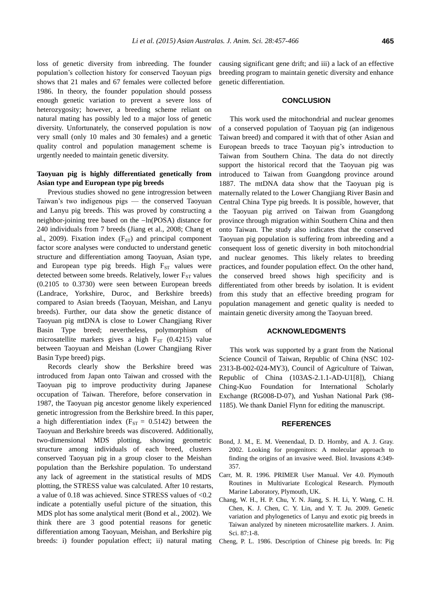loss of genetic diversity from inbreeding. The founder population's collection history for conserved Taoyuan pigs shows that 21 males and 67 females were collected before 1986. In theory, the founder population should possess enough genetic variation to prevent a severe loss of heterozygosity; however, a breeding scheme reliant on natural mating has possibly led to a major loss of genetic diversity. Unfortunately, the conserved population is now very small (only 10 males and 30 females) and a genetic quality control and population management scheme is urgently needed to maintain genetic diversity.

# **Taoyuan pig is highly differentiated genetically from Asian type and European type pig breeds**

Previous studies showed no gene introgression between Taiwan's two indigenous pigs — the conserved Taoyuan and Lanyu pig breeds. This was proved by constructing a neighbor-joining tree based on the  $-\ln(POSA)$  distance for 240 individuals from 7 breeds (Jiang et al., 2008; Chang et al., 2009). Fixation index  $(F_{ST})$  and principal component factor score analyses were conducted to understand genetic structure and differentiation among Taoyuan, Asian type, and European type pig breeds. High  $F_{ST}$  values were detected between some breeds. Relatively, lower  $F_{ST}$  values (0.2105 to 0.3730) were seen between European breeds (Landrace, Yorkshire, Duroc, and Berkshire breeds) compared to Asian breeds (Taoyuan, Meishan, and Lanyu breeds). Further, our data show the genetic distance of Taoyuan pig mtDNA is close to Lower Changjiang River Basin Type breed; nevertheless, polymorphism of microsatellite markers gives a high  $F_{ST}$  (0.4215) value between Taoyuan and Meishan (Lower Changjiang River Basin Type breed) pigs.

Records clearly show the Berkshire breed was introduced from Japan onto Taiwan and crossed with the Taoyuan pig to improve productivity during Japanese occupation of Taiwan. Therefore, before conservation in 1987, the Taoyuan pig ancestor genome likely experienced genetic introgression from the Berkshire breed. In this paper, a high differentiation index ( $F_{ST} = 0.5142$ ) between the Taoyuan and Berkshire breeds was discovered. Additionally, two-dimensional MDS plotting, showing geometric structure among individuals of each breed, clusters conserved Taoyuan pig in a group closer to the Meishan population than the Berkshire population. To understand any lack of agreement in the statistical results of MDS plotting, the STRESS value was calculated. After 10 restarts, a value of 0.18 was achieved. Since STRESS values of <0.2 indicate a potentially useful picture of the situation, this MDS plot has some analytical merit (Bond et al., 2002). We think there are 3 good potential reasons for genetic differentiation among Taoyuan, Meishan, and Berkshire pig breeds: i) founder population effect; ii) natural mating causing significant gene drift; and iii) a lack of an effective breeding program to maintain genetic diversity and enhance genetic differentiation.

# **CONCLUSION**

This work used the mitochondrial and nuclear genomes of a conserved population of Taoyuan pig (an indigenous Taiwan breed) and compared it with that of other Asian and European breeds to trace Taoyuan pig's introduction to Taiwan from Southern China. The data do not directly support the historical record that the Taoyuan pig was introduced to Taiwan from Guangdong province around 1887. The mtDNA data show that the Taoyuan pig is maternally related to the Lower Changjiang River Basin and Central China Type pig breeds. It is possible, however, that the Taoyuan pig arrived on Taiwan from Guangdong province through migration within Southern China and then onto Taiwan. The study also indicates that the conserved Taoyuan pig population is suffering from inbreeding and a consequent loss of genetic diversity in both mitochondrial and nuclear genomes. This likely relates to breeding practices, and founder population effect. On the other hand, the conserved breed shows high specificity and is differentiated from other breeds by isolation. It is evident from this study that an effective breeding program for population management and genetic quality is needed to maintain genetic diversity among the Taoyuan breed.

#### **ACKNOWLEDGMENTS**

This work was supported by a grant from the National Science Council of Taiwan, Republic of China (NSC 102- 2313-B-002-024-MY3), Council of Agriculture of Taiwan, Republic of China (103AS-2.1.1-AD-U1[8]), Chiang Ching-Kuo Foundation for International Scholarly Exchange (RG008-D-07), and Yushan National Park (98- 1185). We thank Daniel Flynn for editing the manuscript.

#### **REFERENCES**

- Bond, J. M., E. M. Veenendaal, D. D. Hornby, and A. J. Gray. 2002. [Looking for progenitors: A](http://link.springer.com/article/10.1023/A:1023621102714) molecular approach to [finding the origins of an invasive weed.](http://link.springer.com/article/10.1023/A:1023621102714) Biol. Invasions 4:349- 357.
- Carr, M. R. 1996. PRIMER User Manual. Ver 4.0. Plymouth Routines in Multivariate Ecological Research. Plymouth Marine Laboratory, Plymouth, UK.
- Chang, W. H., H. P. Chu, Y. N. Jiang, S. H. Li, Y. Wang, C. H. Chen, K. J. Chen, C. Y. Lin, and Y. T. Ju. 2009. [Genetic](http://www.journalofanimalscience.org/content/87/1/1.short)  [variation and phylogenetics of Lanyu and exotic pig breeds in](http://www.journalofanimalscience.org/content/87/1/1.short)  [Taiwan analyzed by nineteen microsatellite markers.](http://www.journalofanimalscience.org/content/87/1/1.short) J. Anim. Sci. 87:1-8.
- Cheng, P. L. 1986. Description of Chinese pig breeds. In: Pig